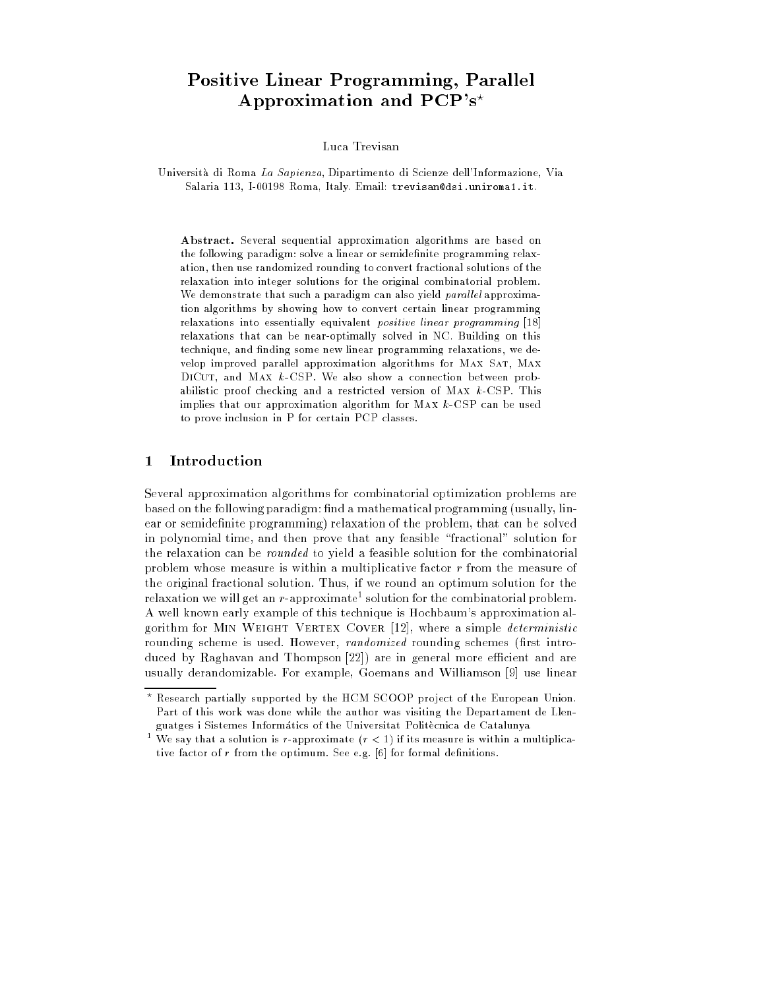# Positive Linear Programming, Parallel Approximation and  $PCP's<sup>*</sup>$

Luca Trevisan

Universita di Roma La Sapienza, Dipartimento di Scienze dell'Informazione, Via Salaria 113, I-00198 Roma, Italy. Email: trevisan@dsi.uniroma1.it.

Abstract. Several sequential approximation algorithms are based on the following paradigm: solve a linear or semidefinite programming relaxation, then use randomized rounding to convert fractional solutions of the relaxation into integer solutions for the original combinatorial problem. We demonstrate that such a paradigm can also yield parallel approximation algorithms by showing how to convert certain linear programming relaxations into essentially equivalent *positive linear programming* [18] relaxations that can be near-optimally solved in NC. Building on this technique, and finding some new linear programming relaxations, we develop improved parallel approximation algorithms for MAX SAT, MAX DICUT, and MAX  $k$ -CSP. We also show a connection between probabilistic proof checking and a restricted version of MAX  $k$ -CSP. This implies that our approximation algorithm for Max k-CSP can be used to prove inclusion in P for certain PCP classes.

# 1 Introduction

Several approximation algorithms for combinatorial optimization problems are based on the following paradigm: find a mathematical programming (usually, linear or semidefinite programming) relaxation of the problem, that can be solved in polynomial time, and then prove that any feasible \fractional" solution for the relaxation can be rounded to yield a feasible solution for the combinatorial problem whose measure is within a multiplicative factor r from the measure of the original fractional solution. Thus, if we round an optimum solution for the relaxation we will get an  $r\text{-approximate^*}$  solution for the combinatorial problem. A well known early example of this technique is Hochbaum's approximation algorithm for MIN WEIGHT VERTEX COVER [12], where a simple *deterministic* rounding scheme is used. However, *randomized* rounding schemes (first introduced by Raghavan and Thompson [22]) are in general more efficient and are usually derandomizable. For example, Goemans and Williamson [9] use linear

Research partially supported by the HCM SCOOP project of the European Union. Part of this work was done while the author was visiting the Departament de Llenguatges i Sistemes Informátics of the Universitat Politècnica de Catalunya

We say that a solution is r-approximate  $(r < 1)$  if its measure is within a multiplicative factor of  $r$  from the optimum. See e.g.  $[6]$  for formal definitions.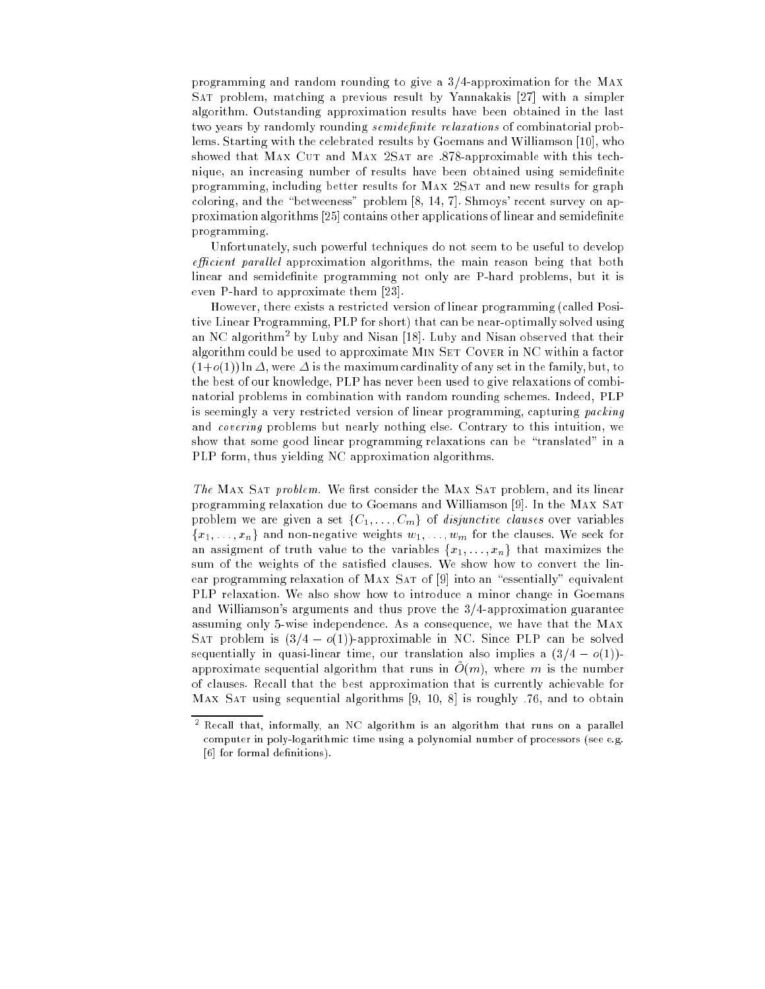programming and random rounding to give a 3/4-approximation for the Max Sat problem, matching a previous result by Yannakakis [27] with a simpler algorithm. Outstanding approximation results have been obtained in the last two years by randomly rounding *semidefinite relaxations* of combinatorial problems. Starting with the celebrated results by Goemans and Williamson [10], who showed that MAX CUT and MAX 2SAT are .878-approximable with this technique, an increasing number of results have been obtained using semidefinite programming, including better results for MAX 2SAT and new results for graph coloring, and the "betweeness" problem  $[8, 14, 7]$ . Shmoys' recent survey on approximation algorithms [25] contains other applications of linear and semidenite programming.

Unfortunately, such powerful techniques do not seem to be useful to develop *efficient parallel* approximation algorithms, the main reason being that both linear and semidefinite programming not only are P-hard problems, but it is even P-hard to approximate them [23].

However, there exists a restricted version of linear programming (called Positive Linear Programming, PLP for short) that can be near-optimally solved using an NC algorithm2 by Luby and Nisan [18]. Luby and Nisan observed that their algorithm could be used to approximate MIN SET COVER in NC within a factor  $(1+o(1))$  ln  $\Delta$ , were  $\Delta$  is the maximum cardinality of any set in the family, but, to the best of our knowledge, PLP has never been used to give relaxations of combinatorial problems in combination with random rounding schemes. Indeed, PLP is seemingly a very restricted version of linear programming, capturing packing and covering problems but nearly nothing else. Contrary to this intuition, we show that some good linear programming relaxations can be "translated" in a PLP form, thus yielding NC approximation algorithms.

The MAX SAT problem. We first consider the MAX SAT problem, and its linear programming relaxation due to Goemans and Williamson [9]. In the Max Sat problem we are given a set  $\{C_1, \ldots, C_m\}$  of *disjunctive clauses* over variables  ${x_1, \ldots, x_n}$  and non-negative weights  $w_1, \ldots, w_m$  for the clauses. We seek for an assigment of truth value to the variables  $\{x_1, \ldots, x_n\}$  that maximizes the sum of the weights of the satisfied clauses. We show how to convert the linear programming relaxation of MAX SAT of [9] into an "essentially" equivalent PLP relaxation. We also show how to introduce a minor change in Goemans and Williamson's arguments and thus prove the 3/4-approximation guarantee assuming only 5-wise independence. As a consequence, we have that the Max SAT problem is  $(3/4 - o(1))$ -approximable in NC. Since PLP can be solved sequentially in quasi-linear time, our translation also implies a  $(3/4 - o(1))$ approximate sequential algorithm that runs in  $O(m)$ , where m is the number of clauses. Recall that the best approximation that is currently achievable for MAX SAT using sequential algorithms  $[9, 10, 8]$  is roughly  $.76$ , and to obtain

 $^{\circ}$  Kecall that, informally, an NC algorithm is an algorithm that runs on a parallel computer in poly-logarithmic time using a polynomial number of processors (see e.g. [6] for formal definitions).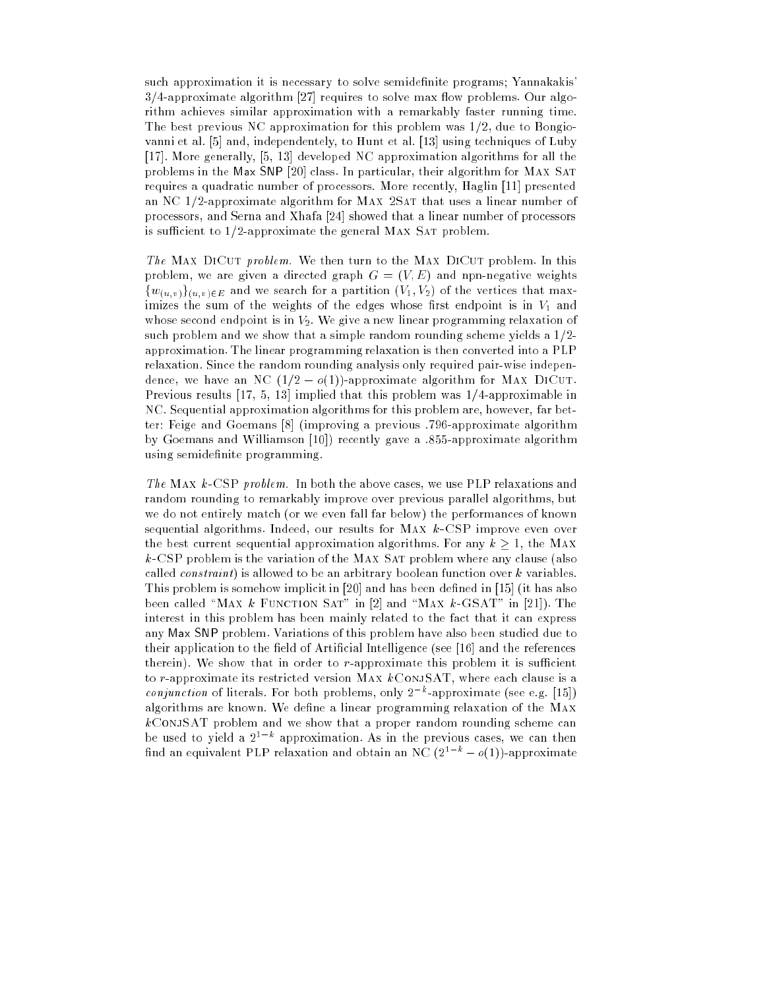such approximation it is necessary to solve semidefinite programs; Yannakakis'  $3/4$ -approximate algorithm [27] requires to solve max flow problems. Our algorithm achieves similar approximation with a remarkably faster running time. The best previous NC approximation for this problem was 1/2, due to Bongiovanni et al. [5] and, independentely, to Hunt et al. [13] using techniques of Luby [17]. More generally, [5, 13] developed NC approximation algorithms for all the problems in the Max SNP [20] class. In particular, their algorithm for MAX SAT requires a quadratic number of processors. More recently, Haglin [11] presented an NC 1/2-approximate algorithm for MAX 2SAT that uses a linear number of processors, and Serna and Xhafa [24] showed that a linear number of processors is sufficient to  $1/2$ -approximate the general MAX SAT problem.

The MAX DICUT problem. We then turn to the MAX DICUT problem. In this problem, we are given a directed graph  $G = (V, E)$  and npn-negative weights  $\{w_{(u,v)}\}_{(u,v)\in E}$  and we search for a partition  $(V_1, V_2)$  of the vertices that maximizes the sum of the weights of the edges whose first endpoint is in  $V_1$  and whose second endpoint is in  $V_2$ . We give a new linear programming relaxation of such problem and we show that a simple random rounding scheme yields a 1/2 approximation. The linear programming relaxation is then converted into a PLP relaxation. Since the random rounding analysis only required pair-wise independence, we have an NC  $(1/2 - o(1))$ -approximate algorithm for MAX DICUT. Previous results  $[17, 5, 13]$  implied that this problem was  $1/4$ -approximable in NC. Sequential approximation algorithms for this problem are, however, far better: Feige and Goemans [8] (improving a previous :796-approximate algorithm by Goemans and Williamson [10]) recently gave a :855-approximate algorithm using semidefinite programming.

The Max k-CSP problem. In both the above cases, we use PLP relaxations and random rounding to remarkably improve over previous parallel algorithms, but we do not entirely match (or we even fall far below) the performances of known sequential algorithms. Indeed, our results for MAX  $k$ -CSP improve even over the best current sequential approximation algorithms. For any  $k > 1$ , the MAX  $k$ -CSP problem is the variation of the MAX SAT problem where any clause (also called *constraint*) is allowed to be an arbitrary boolean function over k variables. This problem is somehow implicit in  $[20]$  and has been defined in  $[15]$  (it has also been called "MAX k FUNCTION SAT" in [2] and "MAX k-GSAT" in [21]). The interest in this problem has been mainly related to the fact that it can express any Max SNP problem. Variations of this problem have also been studied due to their application to the field of Artificial Intelligence (see  $[16]$  and the references therein). We show that in order to  $r$ -approximate this problem it is sufficient to r-approximate its restricted version MAX  $k$ CONJSAT, where each clause is a *conjunction* of literals. For both problems, only  $2^{-k}$ -approximate (see e.g. [15]) algorithms are known. We define a linear programming relaxation of the MAX  $k$ ConjSAT problem and we show that a proper random rounding scheme can be used to yield a  $2^{1-k}$  approximation. As in the previous cases, we can then find an equivalent PLP relaxation and obtain an NC (2<sup>1-k</sup> -  $o(1)$ )-approximate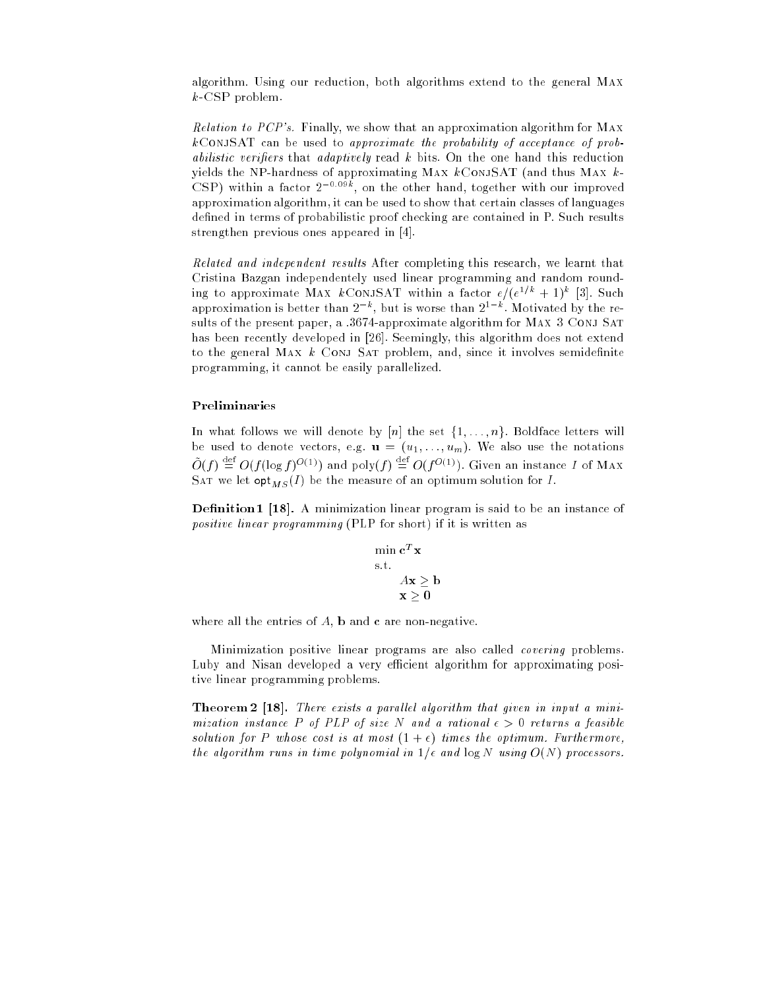algorithm. Using our reduction, both algorithms extend to the general Max k-CSP problem.

Relation to PCP's. Finally, we show that an approximation algorithm for Max  $k$ CONJSAT can be used to approximate the probability of acceptance of probabilistic verifiers that adaptively read  $k$  bits. On the one hand this reduction yields the NP-hardness of approximating MAX  $k$ CONJSAT (and thus MAX  $k$ -CSP) within a factor  $2^{-0.09k}$ , on the other hand, together with our improved approximation algorithm, it can be used to show that certain classes of languages defined in terms of probabilistic proof checking are contained in P. Such results strengthen previous ones appeared in [4].

Related and independent results After completing this research, we learnt that Cristina Bazgan independentely used linear programming and random rounding to approximate MAX  $k$ CONJSAT within a factor  $e/(e^{1/k} + 1)^k$  [3]. Such approximation is better than  $2^{-k}$ , but is worse than  $2^{1-k}$ . Motivated by the results of the present paper, a :3674-approximate algorithm for MAX 3 CONJ SAT has been recently developed in [26]. Seemingly, this algorithm does not extend to the general MAX  $k$  CONJ SAT problem, and, since it involves semidefinite programming, it cannot be easily parallelized.

### Preliminaries

In what follows we will denote by  $[n]$  the set  $\{1, \ldots, n\}$ . Boldface letters will be used to denote vectors, e.g.  $\mathbf{u} = (u_1, \ldots, u_m)$ . We also use the notations  $\hat{O}(f) \stackrel{\text{def}}{=} O(f(\log f)^{O(1)})$  and poly $(f) \stackrel{\text{def}}{=} O(f^{O(1)})$ . Given an instance I of MAX SAT we let  $\mathsf{opt}_{MS}(I)$  be the measure of an optimum solution for I.

**Definition 1 [18].** A minimization linear program is said to be an instance of positive linear programming (PLP for short) if it is written as

$$
\min_{\mathbf{s}.\mathbf{t}} \mathbf{c}^T \mathbf{x}
$$
  
s.t.  

$$
A\mathbf{x} \ge \mathbf{b}
$$
  

$$
\mathbf{x} > 0
$$

where all the entries of  $A$ ,  $b$  and  $c$  are non-negative.

Minimization positive linear programs are also called *covering* problems. Luby and Nisan developed a very efficient algorithm for approximating positive linear programming problems.

Theorem 2 [18]. There exists a parallel algorithm that given in input a minimization instance P of PLP of size N and a rational  $\epsilon > 0$  returns a feasible solution for P whose cost is at most  $(1 + \epsilon)$  times the optimum. Furthermore, the algorithm runs in time polynomial in  $1/\epsilon$  and  $\log N$  using  $O(N)$  processors.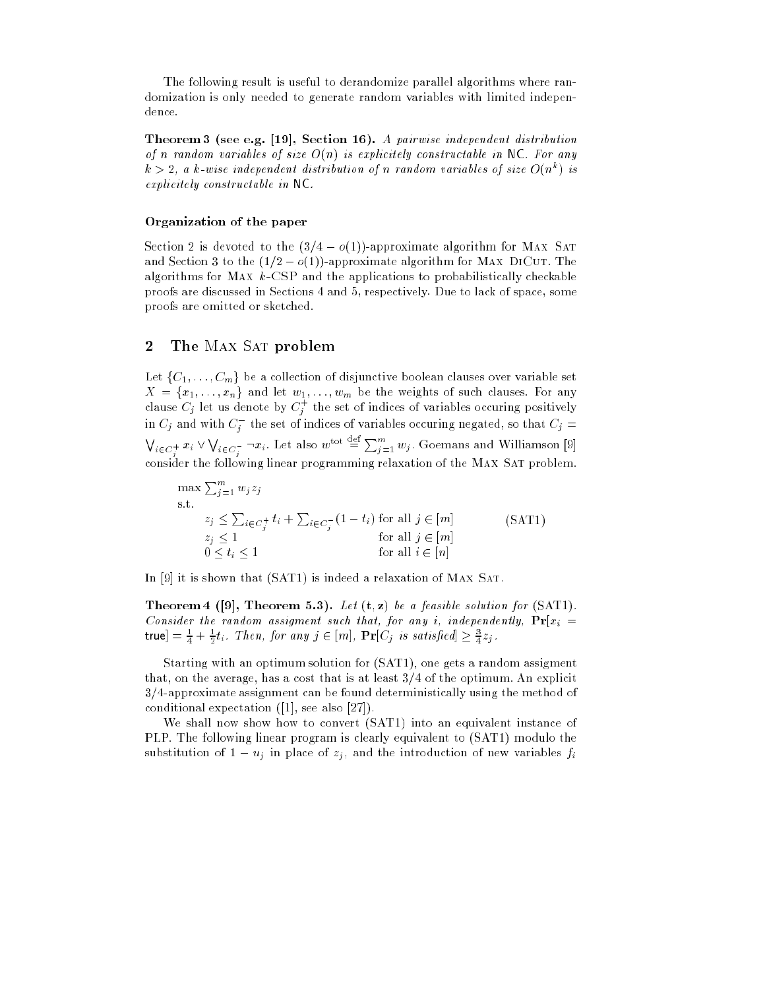The following result is useful to derandomize parallel algorithms where randomization is only needed to generate random variables with limited independence.

Theorem 3 (see e.g. [19], Section 16). A pairwise independent distribution of n random variables of size  $O(n)$  is explicitely constructable in NC. For any  $k > 2$ , a k-wise independent distribution of n random variables of size  $O(n^k)$  is explicitely constructable in NC.

#### Organization of the paper

Section 2 is devoted to the  $(3/4 - o(1))$ -approximate algorithm for MAX SAT and Section 3 to the  $(1/2 - o(1))$ -approximate algorithm for MAX DICUT. The algorithms for MAX  $k$ -CSP and the applications to probabilistically checkable proofs are discussed in Sections 4 and 5, respectively. Due to lack of space, some proofs are omitted or sketched.

#### $\overline{2}$ The MAX SAT problem

Let  $\{C_1, \ldots, C_m\}$  be a collection of disjunctive boolean clauses over variable set  $X = \{x_1, \ldots, x_n\}$  and let  $w_1, \ldots, w_m$  be the weights of such clauses. For any clause  $C_j$  let us denote by  $C_j^+$  the set of indices of variables occuring positively in  $C_j$  and with  $C_j^-$  the set of indices of variables occuring negated, so that  $C_j = \emptyset$  $\bigvee_{i\in C_i^+}x_i\vee \bigvee_{i\in C_i^-}\neg x_i.$  Let also  $w^{\text{tot}}\stackrel{\text{def}}{=}\sum_{j=1}^m w_j$  . Goemans and Williamson [9] consider the following linear programming relaxation of the Max Sat problem.

$$
\max \sum_{j=1}^{m} w_j z_j
$$
\ns.t.

\n
$$
z_j \leq \sum_{i \in C_j^+} t_i + \sum_{i \in C_j^-} (1 - t_i) \text{ for all } j \in [m]
$$
\n
$$
z_j \leq 1 \qquad \text{for all } j \in [m]
$$
\n
$$
0 \leq t_i \leq 1 \qquad \text{for all } i \in [n]
$$
\n(SAT1)

In [9] it is shown that (SAT1) is indeed a relaxation of MAX SAT.

**Theorem 4** ([9], Theorem 5.3). Let  $(t, z)$  be a feasible solution for  $(SAT1)$ . Consider the random assigment such that, for any i, independently,  $Pr[x_i =$ true]  $=\frac{1}{4}+\frac{1}{2}t_{i}$ . Then, for any  $j\in[m]$ ,  $\mathbf{Pr}[C_{j}]$  is satisfied]  $\geq\frac{3}{4}z_{j}$ .

Starting with an optimum solution for (SAT1), one gets a random assigment that, on the average, has a cost that is at least 3/4 of the optimum. An explicit 3/4-approximate assignment can be found deterministically using the method of conditional expectation ([1], see also [27]).

We shall now show how to convert (SAT1) into an equivalent instance of PLP. The following linear program is clearly equivalent to (SAT1) modulo the substitution of  $1 - u_j$  in place of  $z_j$ , and the introduction of new variables  $f_i$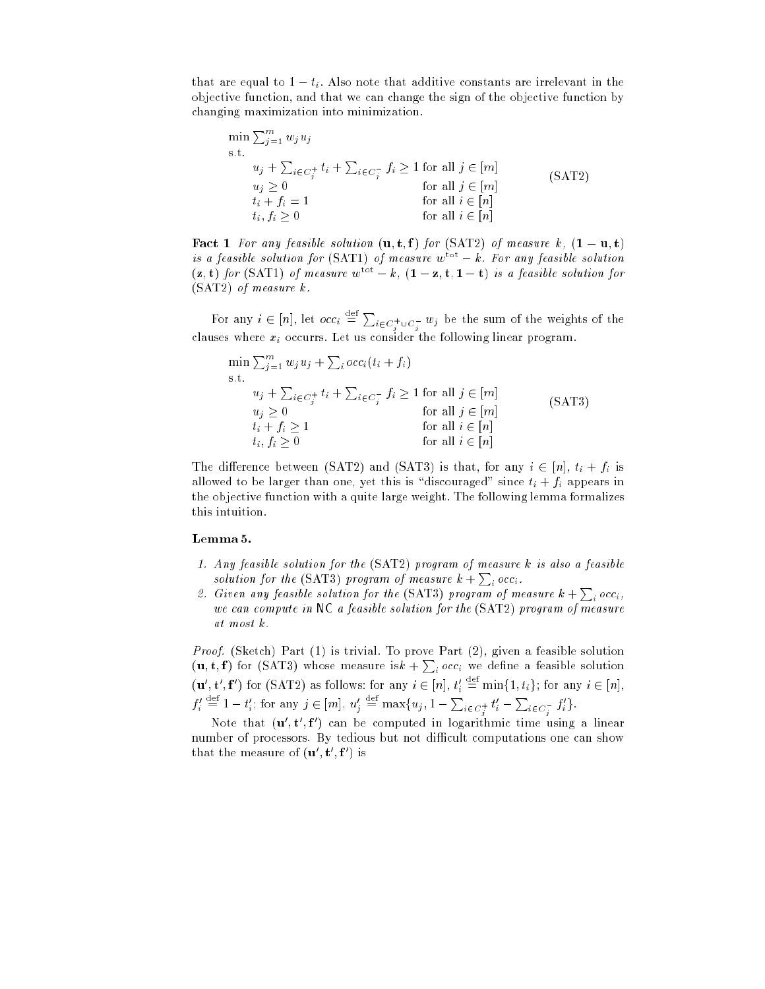that are equal to  $1 - t_i$ . Also note that additive constants are irrelevant in the objective function, and that we can change the sign of the objective function by changing maximization into minimization.

$$
\min \sum_{j=1}^{m} w_j u_j
$$
\n
$$
\text{s.t.}
$$
\n
$$
u_j + \sum_{i \in C_j^+} t_i + \sum_{i \in C_j^-} f_i \ge 1 \text{ for all } j \in [m]
$$
\n
$$
u_j \ge 0
$$
\n
$$
t_i + f_i = 1
$$
\n
$$
t_i, f_i \ge 0
$$
\n
$$
\text{for all } i \in [n]
$$
\n
$$
\text{for all } i \in [n]
$$
\n
$$
\text{for all } i \in [n]
$$

**Fact 1** For any feasible solution  $(\mathbf{u}, \mathbf{t}, \mathbf{f})$  for (SAT2) of measure k,  $(1 - \mathbf{u}, \mathbf{t})$ is a feasible solution for  $(SAT1)$  of measure  $w<sup>tot</sup> - k$ . For any feasible solution  $(z, t)$  for (SAT1) of measure  $w^{\text{tot}} - k$ ,  $(1 - z, t, 1 - t)$  is a feasible solution for (SAT2) of measure k.

For any  $i \in [n]$ , let  $occ_i \stackrel{\text{def}}{=} \sum_{i \in C_i^+ \cup C_j^-} w_i$  be the sum of the weights of the clauses where  $x_i$  occurrs. Let us consider the following linear program.

$$
\min \sum_{j=1}^{m} w_j u_j + \sum_i occ_i(t_i + f_i)
$$
\n
$$
\text{s.t.}
$$
\n
$$
u_j + \sum_{i \in C_j^+} t_i + \sum_{i \in C_j^-} f_i \ge 1 \text{ for all } j \in [m]
$$
\n
$$
u_j \ge 0 \qquad \text{for all } j \in [m]
$$
\n
$$
t_i + f_i \ge 1 \qquad \text{for all } i \in [n]
$$
\n
$$
t_i, f_i \ge 0 \qquad \text{for all } i \in [n]
$$

The difference between (SAT2) and (SAT3) is that, for any  $i \in [n]$ ,  $t_i + f_i$  is allowed to be larger than one, yet this is "discouraged" since  $t_i + f_i$  appears in the objective function with a quite large weight. The following lemma formalizes this intuition.

#### Lemma 5.

- 1. Any feasible solution for the (SAT2) program of measure k is also a feasible solution for the (SAT3) program of measure  $k+\sum_{i}occ_{i}$ .
- 2. Given any feasible solution for the (SAT3) program of measure  $k + \sum_i occ_i$ , we can compute in NC a feasible solution for the (SAT2) program of measure at most k.

Proof. (Sketch) Part (1) is trivial. To prove Part (2), given a feasible solution  $(\mathbf{u}, \mathbf{t}, \mathbf{f})$  for (SAT3) whose measure is $k + \sum_i occ_i$  we define a feasible solution  $(\mathbf{u}', \mathbf{t}', \mathbf{f}')$  for (SAT2) as follows: for any  $i \in [n], t'_i \stackrel{\text{def}}{=} \min\{1, t_i\}$ ; for any  $i \in [n],$  $f'_i \stackrel{\text{def}}{=} 1 - t'_i$ ; for any  $j \in [m]$ ,  $u'_j \stackrel{\text{def}}{=} \max\{u_j, 1 - \sum_{i \in C_j^+} t'_i - \sum_{i \in C_j^-} f'_i\}.$ 

ivote that  $(\mathbf{u\,},\mathbf{t\,},\mathbf{r\,})$  can be computed in logarithmic time using a linear number of processors. By tedious but not difficult computations one can show that the measure of  $(\mathbf{u}_0, \mathbf{t}_1, \mathbf{I}_1)$  is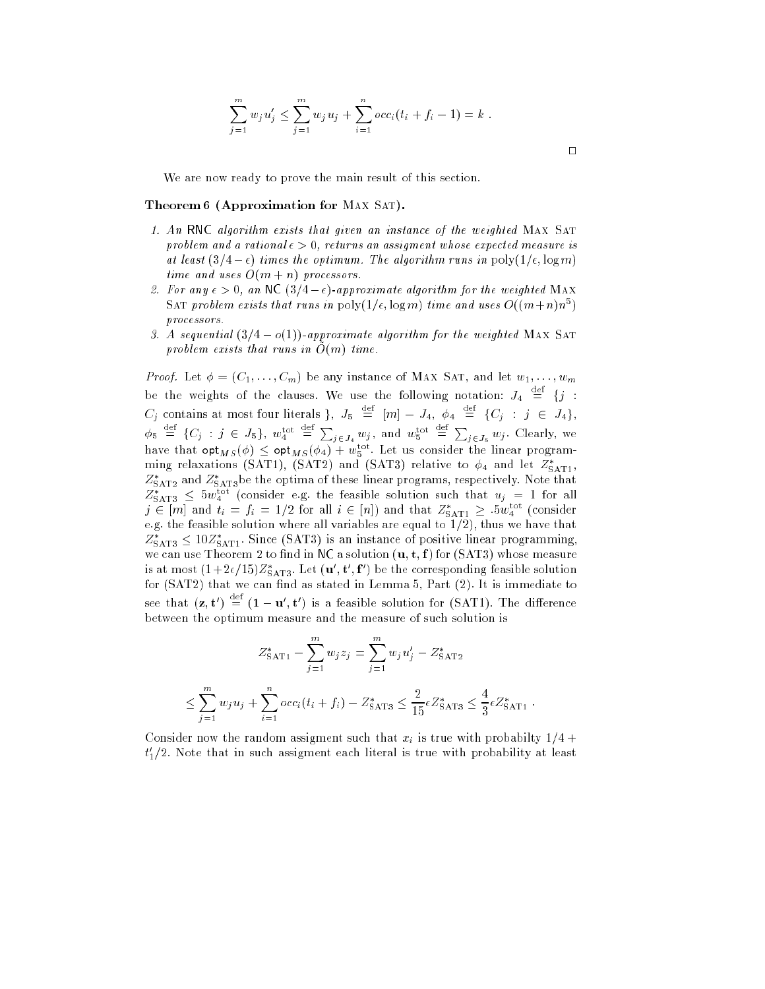$$
\sum_{j=1}^{m} w_j u'_j \leq \sum_{j=1}^{m} w_j u_j + \sum_{i=1}^{n} occ_i (t_i + f_i - 1) = k.
$$

We are now ready to prove the main result of this section.

## Theorem 6 (Approximation for MAX SAT).

- 1. An RNC algorithm exists that given an instance of the weighted MAX SAT problem and a rational  $\epsilon > 0$ , returns an assigment whose expected measure is at least  $(3/4 - \epsilon)$  times the optimum. The algorithm runs in poly $(1/\epsilon, \log m)$ time and uses  $O(m + n)$  processors.
- 2. For any  $\epsilon > 0$ , an NC  $(3/4 \epsilon)$ -approximate algorithm for the weighted MAX SAT problem exists that runs in  $\text{poly}(1/\epsilon, \log m)$  time and uses  $O((m+n)n^5)$ processors.
- 3. A sequential  $(3/4 o(1))$ -approximate algorithm for the weighted MAX SAT problem exists that runs in  $\tilde{O}(m)$  time.

*Proof.* Let  $\phi = (C_1, \ldots, C_m)$  be any instance of MAX SAT, and let  $w_1, \ldots, w_m$ be the weights of the clauses. We use the following notation:  $J_4 \equiv \{j :$  $C_j$  contains at most four literals },  $J_5 \equiv [m] - J_4, \; \phi_4 \equiv \{C_j \; : \; j \; \in \; J_4\},$  $\phi_5 \stackrel{\text{def}}{=} \{C_j : j \in J_5\}, w_4^{\text{tot}} \stackrel{\text{def}}{=} \sum_{j \in J_4} w_j$ , and  $w_5^{\text{tot}} \stackrel{\text{def}}{=} \sum_{j \in J_5} w_j$ . Clearly, we have that  ${\sf opt}_{MS}(\phi) \leq {\sf opt}_{MS} (\phi_4) + w_5^{\rm tot.}$  Let us consider the linear programming relaxations (SAT1), (SAT2) and (SAT3) relative to  $\phi_4$  and let  $Z^*_{\mathrm{SAT1}},$  $Z_{\text{SAT2}}^*$  and  $Z_{\text{SAT3}}^*$ be the optima of these linear programs, respectively. Note that  $Z_{\text{SAT3}}^* \leq 5 w_4^{\text{tot}}$  (consider e.g. the feasible solution such that  $u_j \, = \, 1$  for all  $j \in [m]$  and  $t_i = f_i = 1/2$  for all  $i \in [n]$ ) and that  $Z^*_{\text{SAT1}} \geq .5 w^{\text{tot}}_4$  (consider e.g. the feasible solution where all variables are equal to  $1/2$ ), thus we have that  $Z^*_{\text{SAT3}} \leq 10 Z^*_{\text{SAT1}}$ . Since (SAT3) is an instance of positive linear programming, we can use Theorem 2 to find in NC a solution  $(\mathbf{u}, \mathbf{t}, \mathbf{f})$  for (SAT3) whose measure is at most  $(1+2\epsilon/15)Z^*_{\mathrm{SAT3}}.$  Let  $(\mathbf{u}', \mathbf{t}', \mathbf{f}')$  be the corresponding feasible solution for  $(SAT2)$  that we can find as stated in Lemma 5, Part  $(2)$ . It is immediate to see that  $(\mathbf{z},\mathbf{t}') = (\mathbf{1}-\mathbf{u}',\mathbf{t}')$  is a feasible solution for (SAT1). The difference between the optimum measure and the measure of such solution is

$$
Z_{\text{SAT1}}^* - \sum_{j=1}^m w_j z_j = \sum_{j=1}^m w_j u'_j - Z_{\text{SAT2}}^*
$$
  

$$
\leq \sum_{j=1}^m w_j u_j + \sum_{i=1}^n occ_i(t_i + f_i) - Z_{\text{SAT3}}^* \leq \frac{2}{15} \epsilon Z_{\text{SAT3}}^* \leq \frac{4}{3} \epsilon Z_{\text{SAT1}}^*.
$$

Consider now the random assigment such that  $x_i$  is true with probabilty  $1/4 +$  $t_{1}^{\prime}/2.$  Note that in such assigment each literal is true with probability at least

 $\Box$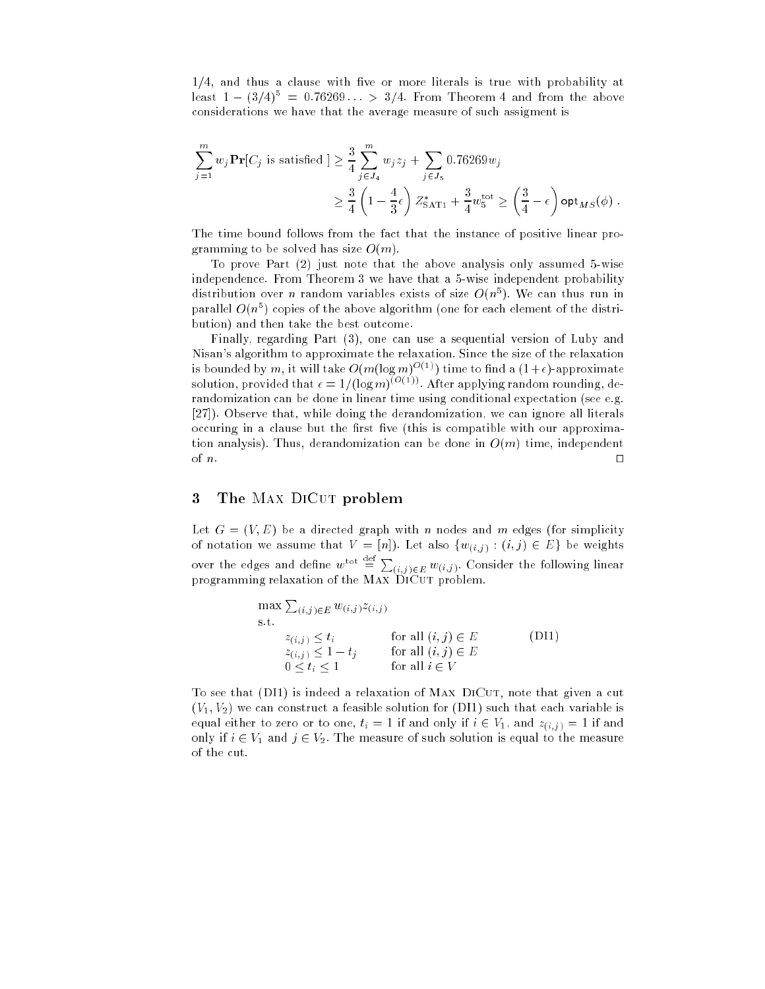$1/4$ , and thus a clause with five or more literals is true with probability at least  $1-(3/4)^5 = 0.76269... > 3/4$ . From Theorem 4 and from the above considerations we have that the average measure of such assigment is

$$
\sum_{j=1}^{m} w_j \mathbf{Pr}[C_j \text{ is satisfied}] \ge \frac{3}{4} \sum_{j \in J_4}^{m} w_j z_j + \sum_{j \in J_5} 0.76269 w_j
$$
  

$$
\ge \frac{3}{4} \left(1 - \frac{4}{3} \epsilon\right) Z_{\text{SAT1}}^* + \frac{3}{4} w_5^{\text{tot}} \ge \left(\frac{3}{4} - \epsilon\right) \text{opt}_{MS}(\phi) .
$$

The time bound follows from the fact that the instance of positive linear programming to be solved has size  $O(m)$ .

To prove Part (2) just note that the above analysis only assumed 5-wise independence. From Theorem 3 we have that a 5-wise independent probability distribution over *n* random variables exists of size  $O(n^5)$ . We can thus run in parallel  $O(n^5)$  copies of the above algorithm (one for each element of the distribution) and then take the best outcome.

Finally, regarding Part (3), one can use a sequential version of Luby and Nisan's algorithm to approximate the relaxation. Since the size of the relaxation is bounded by m, it will take  $O(m(\log m)^{O(1)})$  time to find a  $(1+\epsilon)$ -approximate solution, provided that  $\epsilon = 1/(\log m)^{(O(1))}$ . After applying random rounding, derandomization can be done in linear time using conditional expectation (see e.g. [27]). Observe that, while doing the derandomization, we can ignore all literals occuring in a clause but the first five (this is compatible with our approximation analysis). Thus, derandomization can be done in  $O(m)$  time, independent of  $n$ .

# 3 The MAX DICUT problem

Let  $G = (V, E)$  be a directed graph with n nodes and m edges (for simplicity of notation we assume that  $V = [n]$ . Let also  $\{w_{(i,j)} : (i,j) \in E\}$  be weights over the edges and define  $w^{\text{tot}} \stackrel{\text{det}}{=} \sum_{(i,j) \in E} w_{(i,j)}$ . Consider the following linear programming relaxation of the Max DiCut problem.

$$
\max \sum_{(i,j)\in E} w_{(i,j)} z_{(i,j)}
$$
\n
$$
\text{s.t.} \quad z_{(i,j)} \le t_i \quad \text{for all } (i,j) \in E \quad \text{(DI1)}
$$
\n
$$
z_{(i,j)} \le 1 - t_j \quad \text{for all } (i,j) \in E \quad \text{0} \le t_i \le 1 \quad \text{for all } i \in V
$$

To see that (DI1) is indeed a relaxation of MAX DICUT, note that given a cut  $(V_1, V_2)$  we can construct a feasible solution for (DI1) such that each variable is equal either to zero or to one,  $t_i = 1$  if and only if  $i \in V_1$ , and  $z_{(i,j)} = 1$  if and only if  $i \in V_1$  and  $j \in V_2$ . The measure of such solution is equal to the measure of the cut.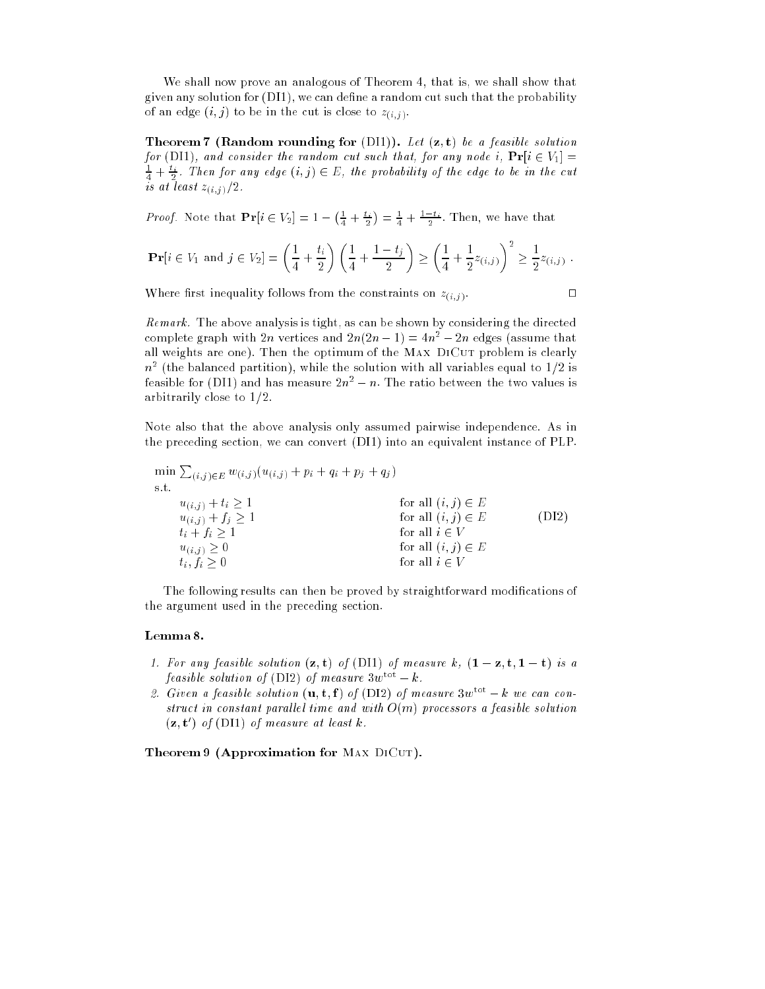We shall now prove an analogous of Theorem 4, that is, we shall show that given any solution for (DI1), we can define a random cut such that the probability of an edge  $(i, j)$  to be in the cut is close to  $z_{(i,j)}$ .

**Theorem 7 (Random rounding for (DI1)).** Let  $(z, t)$  be a feasible solution for (DI1), and consider the random cut such that, for any node i,  $Pr[i \in V_1] =$  $\frac{1}{4} + \frac{t_i}{2}$ . Then for any edge  $(i, j) \in E$ , the probability of the edge to be in the cut is at least  $z_{(i,j)}/2$ .

*Proof.* Note that  $Pr[i \in V_2] = 1 - (\frac{1}{4} + \frac{t_i}{2}) = \frac{1}{4} + \frac{1-t_i}{2}$ . Then, we have that

$$
\mathbf{Pr}[i \in V_1 \text{ and } j \in V_2] = \left(\frac{1}{4} + \frac{t_i}{2}\right) \left(\frac{1}{4} + \frac{1 - t_j}{2}\right) \ge \left(\frac{1}{4} + \frac{1}{2} z_{(i,j)}\right)^2 \ge \frac{1}{2} z_{(i,j)}.
$$

Where first inequality follows from the constraints on  $z_{(i,j)}$ .

Remark. The above analysis is tight, as can be shown by considering the directed complete graph with 2n vertices and  $2n(2n - 1) = 4n^2 - 2n$  edges (assume that all weights are one). Then the optimum of the MAX DICUT problem is clearly  $n^\ast$  (the balanced partition), while the solution with all variables equal to 1/2 is feasible for (DII) and has measure  $2n^\ast=n$  . The ratio between the two values is arbitrarily close to  $1/2$ .

Note also that the above analysis only assumed pairwise independence. As in the preceding section, we can convert (DI1) into an equivalent instance of PLP.

$$
\min \sum_{(i,j)\in E} w_{(i,j)}(u_{(i,j)} + p_i + q_i + p_j + q_j)
$$
\n
$$
\text{s.t.} \quad u_{(i,j)} + t_i \ge 1 \quad \text{for all } (i,j) \in E
$$
\n
$$
u_{(i,j)} + f_j \ge 1 \quad \text{for all } (i,j) \in E
$$
\n
$$
t_i + f_i \ge 1 \quad \text{for all } i \in V
$$
\n
$$
u_{(i,j)} \ge 0 \quad \text{for all } (i,j) \in E
$$
\n
$$
t_i, f_i \ge 0 \quad \text{for all } i \in V
$$

The following results can then be proved by straightforward modications of the argument used in the preceding section.

#### Lemma 8.

- 1. For any feasible solution  $(z, t)$  of (DI1) of measure k,  $(1 z, t, 1 t)$  is a feasible solution of (DI2) of measure  $3w^{\text{tot}} - k$ .
- 2. Given a feasible solution  $(\mathbf{u}, \mathbf{t}, \mathbf{f})$  of (DI2) of measure  $3w^{\text{tot}} k$  we can construct in constant parallel time and with  $O(m)$  processors a feasible solution  $(z, t')$  of (DI1) of measure at least k.

Theorem 9 (Approximation for MAX DICUT).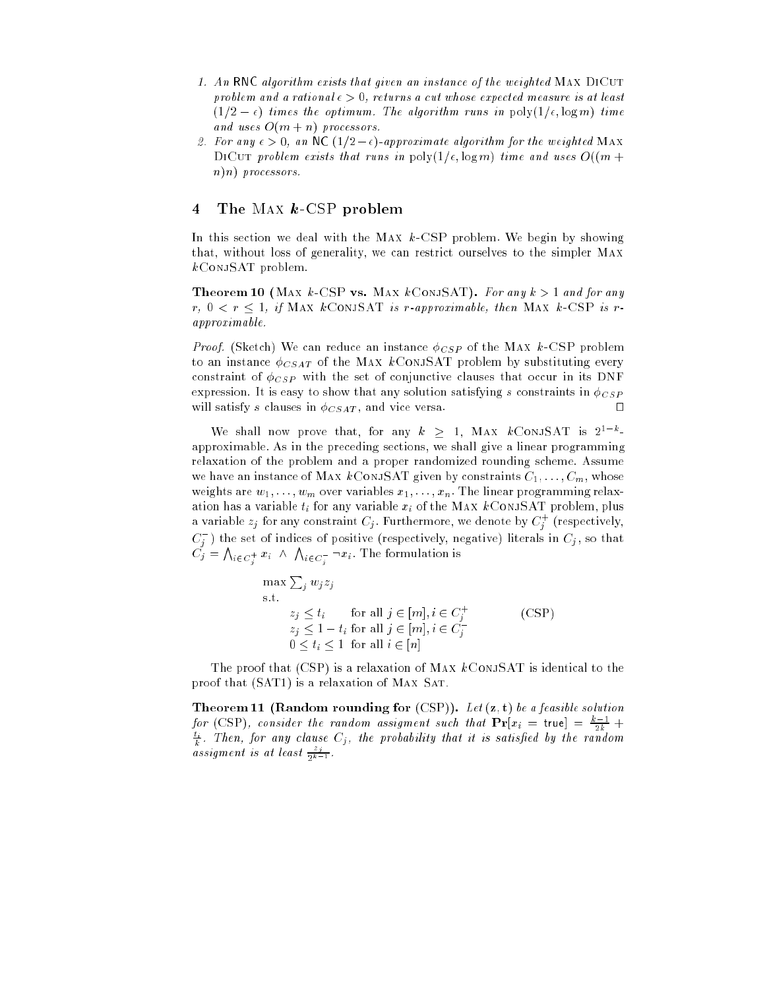- 1. An RNC algorithm exists that given an instance of the weighted MAX DICUT problem and a rational  $\epsilon > 0$ , returns a cut whose expected measure is at least  $(1/2 - \epsilon)$  times the optimum. The algorithm runs in  $\text{poly}(1/\epsilon, \log m)$  time and uses  $O(m + n)$  processors.
- 2. For any  $\epsilon > 0$ , an NC  $(1/2 \epsilon)$ -approximate algorithm for the weighted MAX DICUT problem exists that runs in  $\text{poly}(1/\epsilon, \log m)$  time and uses  $O((m +$ n)n) processors.

# 4 The Max  $k$ -CSP problem

In this section we deal with the MAX  $k$ -CSP problem. We begin by showing that, without loss of generality, we can restrict ourselves to the simpler Max kConjSAT problem.

**Theorem 10** (MAX k-CSP vs. MAX kConjSAT). For any  $k > 1$  and for any  $r, 0 < r \leq 1$ , if MAX kCONJSAT is r-approximable, then MAX k-CSP is rapproximable.

*Proof.* (Sketch) We can reduce an instance  $\phi_{CSP}$  of the MAX k-CSP problem to an instance  $\phi_{CSAT}$  of the MAX kConjSAT problem by substituting every constraint of  $\phi_{CSP}$  with the set of conjunctive clauses that occur in its DNF expression. It is easy to show that any solution satisfying s constraints in  $\phi_{CSP}$ will satisfy s clauses in  $\phi_{CSAT}$ , and vice versa.

We shall now prove that, for any  $k > 1$ , MAX kConjSAT is  $2^{1-k}$ . approximable. As in the preceding sections, we shall give a linear programming relaxation of the problem and a proper randomized rounding scheme. Assume we have an instance of MAX kConjSAT given by constraints  $C_1, \ldots, C_m$ , whose weights are  $w_1, \ldots, w_m$  over variables  $x_1, \ldots, x_n$ . The linear programming relaxation has a variable  $t_i$  for any variable  $x_i$  of the MAX  $k$ CONJSAT problem, plus a variable  $z_j$  for any constraint  $C_j$  . Furthermore, we denote by  $C_j^{\pm}$  (respectively,  $C_j^-$ ) the set of indices of positive (respectively, negative) literals in  $C_j$ , so that  $C_j = \bigwedge_{i \in C^+} x_i \ \wedge \ \bigwedge_{i \in C^-} \neg x_i.$  The formulation is <sup>j</sup> <sup>j</sup>

$$
\max \sum_{j} w_j z_j
$$
\n
$$
\text{s.t.} \quad z_j \le t_i \quad \text{for all } j \in [m], i \in C_j^+ \\
z_j \le 1 - t_i \text{ for all } j \in [m], i \in C_j^- \\
0 \le t_i \le 1 \text{ for all } i \in [n]
$$
\n
$$
(CSP)
$$

The proof that  $(CSP)$  is a relaxation of MAX  $k$ ConjSAT is identical to the proof that (SAT1) is a relaxation of Max Sat.

**Theorem 11 (Random rounding for (CSP)).** Let  $(z, t)$  be a feasible solution for (CSP), consider the random assigment such that  $Pr[x_i = \text{true}] = \frac{k-1}{2k} +$  $\frac{t_i}{k}$ . Then, for any clause  $C_j$ , the probability that it is satisfied by the random assigment is at least  $\frac{z_j}{2^{k-1}}$ .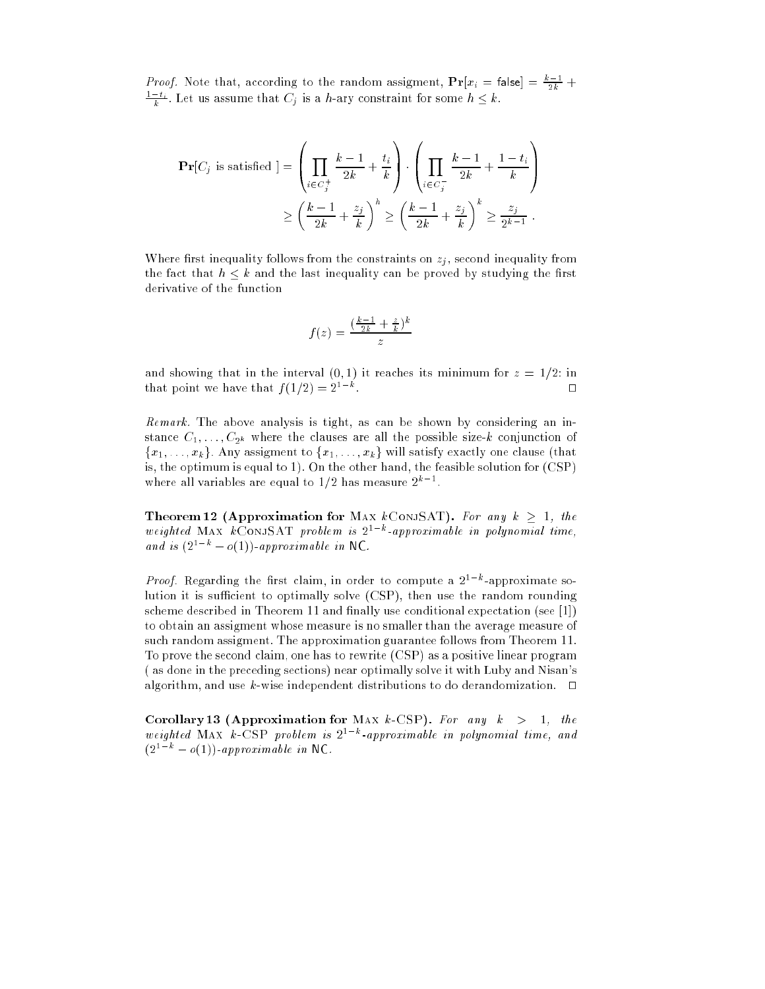*Proof.* Note that, according to the random assigment,  $Pr[x_i = \text{false}] = \frac{k-1}{2k} +$  $\frac{1-t_i}{k}$ . Let us assume that  $C_j$  is a h-ary constraint for some  $h \leq k$ .

$$
\begin{aligned} \mathbf{Pr}[C_j \text{ is satisfied}] &= \left(\prod_{i \in C_j^+} \frac{k-1}{2k} + \frac{t_i}{k}\right) \cdot \left(\prod_{i \in C_j^-} \frac{k-1}{2k} + \frac{1-t_i}{k}\right) \\ &\ge \left(\frac{k-1}{2k} + \frac{z_j}{k}\right)^h \ge \left(\frac{k-1}{2k} + \frac{z_j}{k}\right)^k \ge \frac{z_j}{2^{k-1}} \,. \end{aligned}
$$

Where first inequality follows from the constraints on  $z_i$ , second inequality from the fact that  $h \leq k$  and the last inequality can be proved by studying the first derivative of the function

$$
f(z) = \frac{\left(\frac{k-1}{2k} + \frac{z}{k}\right)^k}{z}
$$

and showing that in the interval (0, 1) it reaches its minimum for  $z = 1/2$ : in that point we have that  $f(1/2) = 2^{1-k}$ .  $\Box$ 

Remark. The above analysis is tight, as can be shown by considering an instance  $C_1, \ldots, C_{2^k}$  where the clauses are all the possible size-k conjunction of  ${x_1, \ldots, x_k}$ . Any assigment to  ${x_1, \ldots, x_k}$  will satisfy exactly one clause (that is, the optimum is equal to 1). On the other hand, the feasible solution for (CSP) where all variables are equal to  $1/2$  has measure  $2^{k-1}$ .

Theorem 12 (Approximation for Max kConjSAT). For any  $k > 1$ , the weighted MAX kCONJSAT problem is  $2^{1-k}$ -approximable in polynomial time, and is  $(2^{1-k} - o(1))$ -approximable in NC.

*Proof.* Regarding the first claim, in order to compute a  $2^{1-k}$ -approximate solution it is sufficient to optimally solve  $(CSP)$ , then use the random rounding scheme described in Theorem 11 and finally use conditional expectation (see  $[1]$ ) to obtain an assigment whose measure is no smaller than the average measure of such random assigment. The approximation guarantee follows from Theorem 11. To prove the second claim, one has to rewrite (CSP) as a positive linear program ( as done in the preceding sections) near optimally solve it with Luby and Nisan's algorithm, and use k-wise independent distributions to do derandomization.  $\Box$ 

Corollary 13 (Approximation for MAX  $k$ -CSP). For any  $k > 1$ , the weighted MAX k-CSP problem is  $2^{1-k}$ -approximable in polynomial time, and  $(2^{1-k} - o(1))$ -approximable in NC.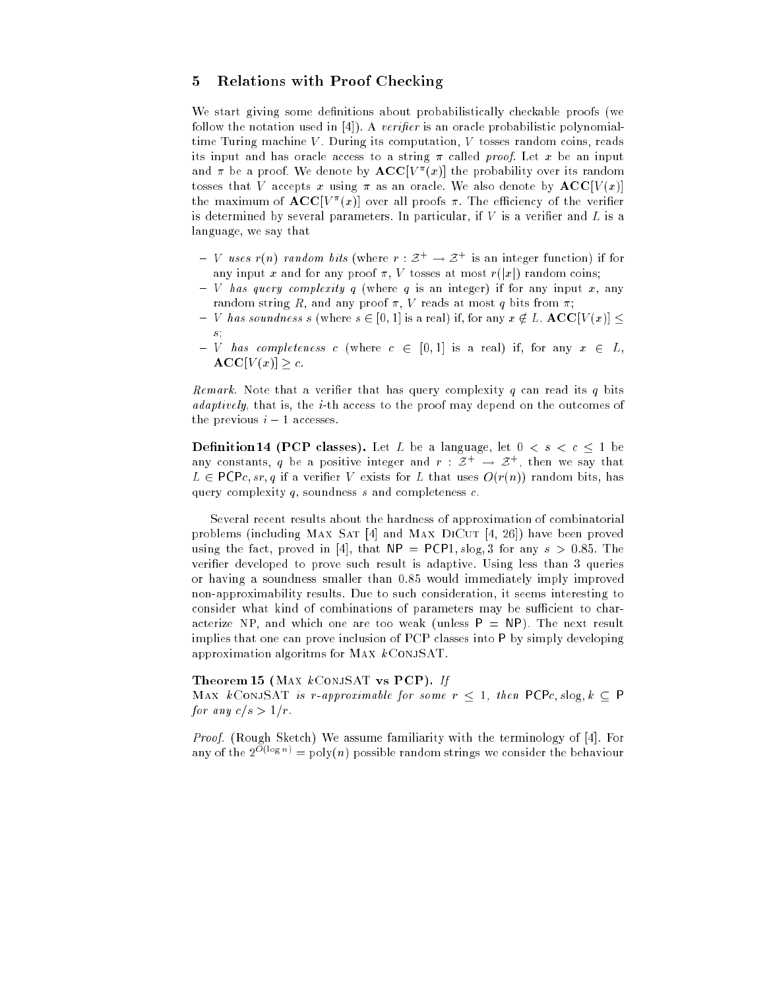# 5 Relations with Proof Checking

We start giving some definitions about probabilistically checkable proofs (we follow the notation used in  $[4]$ ). A verifier is an oracle probabilistic polynomialtime Turing machine V. During its computation, V tosses random coins, reads its input and has oracle access to a string  $\pi$  called proof. Let x be an input and  $\pi$  be a proof. We denote by  $\text{ACC}[V^{\pi}(x)]$  the probability over its random tosses that V accepts x using  $\pi$  as an oracle. We also denote by  $\mathbf{ACC}[V(x)]$ the maximum of  $\mathbf{ACC}[V^\pi(x)]$  over all proofs  $\pi$ . The efficiency of the verifier is determined by several parameters. In particular, if  $V$  is a verifier and  $L$  is a language, we say that

- ${\cal -V}$  uses r(n) random bits (where  $r :{\cal Z}^+\rightarrow{\cal Z}^+$  is an integer function) if for any input x and for any proof  $\pi$ , V tosses at most  $r(|x|)$  random coins;
- ${\cal V}$  has query complexity q (where q is an integer) if for any input x, any random string R, and any proof  $\pi$ , V reads at most q bits from  $\pi$ ;
- ${\cal V}$  has soundness s (where  $s \in [0, 1]$  is a real) if, for any  $x \notin L$ ,  ${\bf ACC}[V(x)]$ s;
- ${\rm -V}$  has completeness c (where  $c \in [0,1]$  is a real) if, for any  $x \in L$ ,  $\mathbf{ACC}[V(x)] > c.$

Remark. Note that a verifier that has query complexity  $q$  can read its  $q$  bits adaptively, that is, the i-th access to the proof may depend on the outcomes of the previous  $i - 1$  accesses.

**Definition 14 (PCP classes).** Let L be a language, let  $0 < s < c \leq 1$  be any constants,  $q$  be a positive integer and  $r$  :  $z^+ \rightarrow z^+$ , then we say that  $L \in \text{PCP}c, sr, q$  if a verifier V exists for L that uses  $O(r(n))$  random bits, has query complexity  $q$ , soundness s and completeness  $c$ .

Several recent results about the hardness of approximation of combinatorial problems (including MAX SAT [4] and MAX DICUT [4, 26]) have been proved using the fact, proved in [4], that  $NP = PCP1$ , slog, 3 for any  $s > 0.85$ . The verifier developed to prove such result is adaptive. Using less than 3 queries or having a soundness smaller than 0.85 would immediately imply improved non-approximability results. Due to such consideration, it seems interesting to consider what kind of combinations of parameters may be sufficient to characterize NP, and which one are too weak (unless  $P = NP$ ). The next result implies that one can prove inclusion of PCP classes into <sup>P</sup> by simply developing approximation algoritms for MAX  $k$ CONJSAT.

## Theorem 15 (MAX  $k$ CONJSAT vs PCP). If

MAX kCONJSAT is r-approximable for some  $r < 1$ , then PCPc, slog,  $k \subset P$ for any  $c/s > 1/r$ .

Proof. (Rough Sketch) We assume familiarity with the terminology of [4]. For any of the  $2^{O(\log n)} = \text{poly}(n)$  possible random strings we consider the behaviour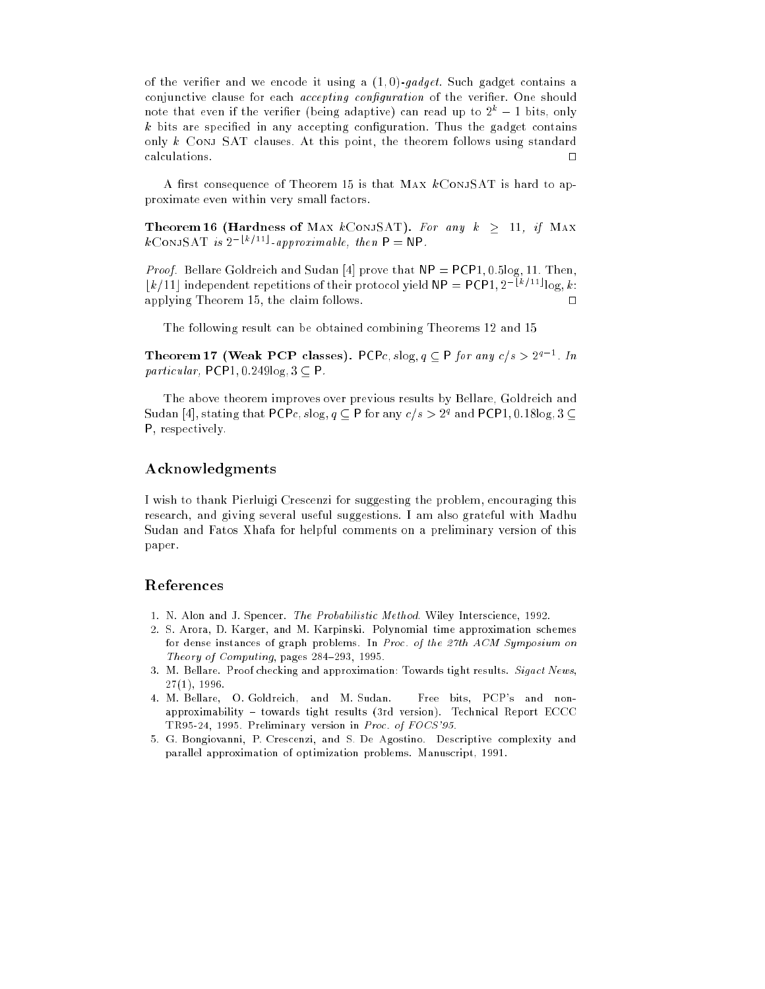of the verifier and we encode it using a  $(1,0)$ -gadget. Such gadget contains a conjunctive clause for each accepting configuration of the verifier. One should note that even if the verifier (being adaptive) can read up to  $2^k - 1$  bits, only  $k$  bits are specified in any accepting configuration. Thus the gadget contains only k Conj SAT clauses. At this point, the theorem follows using standard calculations.  $\Box$ 

A first consequence of Theorem 15 is that MAX  $k$ CONJSAT is hard to approximate even within very small factors.

Theorem 16 (Hardness of MAX kConjSAT). For any  $k > 11$ , if MAX  $k$ ConjSAT is  $2^{-\lfloor k/11 \rfloor}$ -approximable, then  $P = NP$ .

*Proof.* Bellare Goldreich and Sudan [4] prove that  $NP = PCP1, 0.5\log, 11$ . Then,  $\lfloor k/11 \rfloor$  independent repetitions of their protocol yield  $\mathsf{NP} = \mathsf{PCP1}, 2^{-\lfloor k/11 \rfloor} \log k$ : applying Theorem 15, the claim follows.  $\Box$ 

The following result can be obtained combining Theorems 12 and 15

Theorem 17 (Weak PCP classes). PCPc, slog,  $q \subseteq$  P for any c/s  $> 2^{q-1}$ . In particular, PCP1, 0.249 $log, 3 \subseteq P$ .

The above theorem improves over previous results by Bellare, Goldreich and Sudan [4], stating that PCPc,  $slog, q \subseteq P$  for any  $c/s > 2^q$  and PCP1,  $0.18$ log,  $3 \subseteq$ P, respectively.

# Acknowledgments

I wish to thank Pierluigi Crescenzi for suggesting the problem, encouraging this research, and giving several useful suggestions. I am also grateful with Madhu Sudan and Fatos Xhafa for helpful comments on a preliminary version of this paper.

# References

- 1. N. Alon and J. Spencer. The Probabilistic Method. Wiley Interscience, 1992.
- 2. S. Arora, D. Karger, and M. Karpinski. Polynomial time approximation schemes for dense instances of graph problems. In Proc. of the 27th  $ACM$  Symposium on Theory of Computing, pages  $284-293$ , 1995.
- 3. M. Bellare. Proof checking and approximation: Towards tight results. Sigact News,  $27(1), 1996.$
- 4. M. Bellare, O. Goldreich, and M. Sudan. Free bits, PCP's and nonapproximability { towards tight results (3rd version). Technical Report ECCC TR95-24, 1995. Preliminary version in Proc. of FOCS'95.
- 5. G. Bongiovanni, P. Crescenzi, and S. De Agostino. Descriptive complexity and parallel approximation of optimization problems. Manuscript, 1991.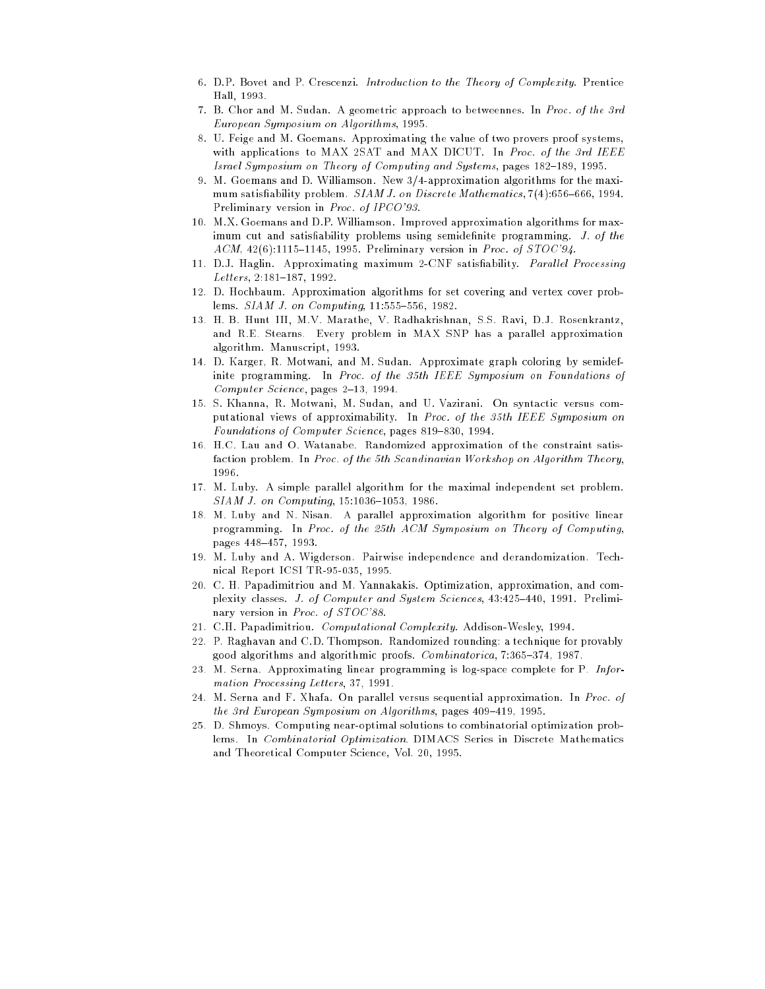- 6. D.P. Bovet and P. Crescenzi. Introduction to the Theory of Complexity. Prentice Hall, 1993.
- 7. B. Chor and M. Sudan. A geometric approach to betweennes. In Proc. of the 3rd European Symposium on Algorithms, 1995.
- 8. U. Feige and M. Goemans. Approximating the value of two provers proof systems, with applications to MAX 2SAT and MAX DICUT. In Proc. of the 3rd IEEE Israel Symposium on Theory of Computing and Systems, pages 182-189, 1995.
- 9. M. Goemans and D. Williamson. New 3/4-approximation algorithms for the maximum satisfiability problem.  $SIAMJ.$  on Discrete Mathematics,  $7(4):656-666, 1994.$ Preliminary version in Proc. of IPCO'93.
- 10. M.X. Goemans and D.P. Williamson. Improved approximation algorithms for maximum cut and satisfiability problems using semidefinite programming. J. of the  $ACM$ , 42(6):1115-1145, 1995. Preliminary version in Proc. of STOC'94.
- 11. D.J. Haglin. Approximating maximum 2-CNF satisfiability. *Parallel Processing*  $Letters$ , 2:181-187, 1992.
- 12. D. Hochbaum. Approximation algorithms for set covering and vertex cover problems.  $SIAM$  J. on Computing,  $11:555-556$ , 1982.
- 13. H. B. Hunt III, M.V. Marathe, V. Radhakrishnan, S.S. Ravi, D.J. Rosenkrantz, and R.E. Stearns. Every problem in MAX SNP has a parallel approximation algorithm. Manuscript, 1993.
- 14. D. Karger, R. Motwani, and M. Sudan. Approximate graph coloring by semidefinite programming. In Proc. of the 35th IEEE Symposium on Foundations of Computer Science, pages  $2-13$ , 1994.
- 15. S. Khanna, R. Motwani, M. Sudan, and U. Vazirani. On syntactic versus computational views of approximability. In Proc. of the 35th IEEE Symposium on Foundations of Computer Science, pages 819-830, 1994.
- 16. H.C. Lau and O. Watanabe. Randomized approximation of the constraint satisfaction problem. In Proc. of the 5th Scandinavian Workshop on Algorithm Theory, 1996.
- 17. M. Luby. A simple parallel algorithm for the maximal independent set problem.  $SIAM$  J. on Computing,  $15:1036-1053$ ,  $1986$ .
- 18. M. Luby and N. Nisan. A parallel approximation algorithm for positive linear programming. In Proc. of the 25th ACM Symposium on Theory of Computing, pages 448-457, 1993.
- 19. M. Luby and A. Wigderson. Pairwise independence and derandomization. Technical Report ICSI TR-95-035, 1995.
- 20. C. H. Papadimitriou and M. Yannakakis. Optimization, approximation, and complexity classes. J. of Computer and System Sciences, 43:425-440, 1991. Preliminary version in Proc. of STOC'88.
- 21. C.H. Papadimitriou. Computational Complexity. Addison-Wesley, 1994.
- 22. P. Raghavan and C.D. Thompson. Randomized rounding: a technique for provably good algorithms and algorithmic proofs. *Combinatorica*, 7:365-374, 1987.
- 23. M. Serna. Approximating linear programming is log-space complete for P. Information Processing Letters, 37, 1991.
- 24. M. Serna and F. Xhafa. On parallel versus sequential approximation. In Proc. of the 3rd European Symposium on Algorithms, pages  $409{-}419$ , 1995.
- 25. D. Shmoys. Computing near-optimal solutions to combinatorial optimization problems. In Combinatorial Optimization. DIMACS Series in Discrete Mathematics and Theoretical Computer Science, Vol. 20, 1995.